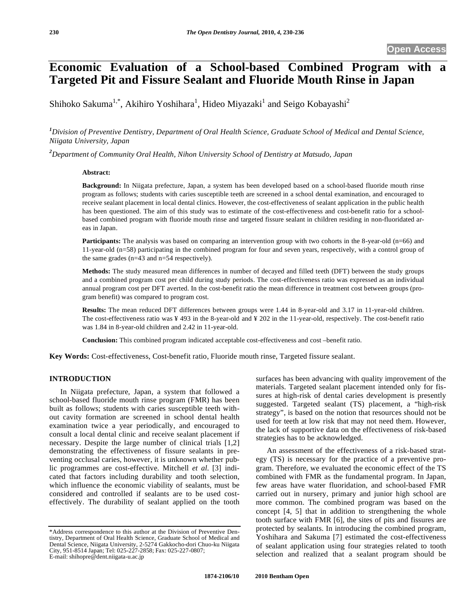# **Economic Evaluation of a School-based Combined Program with a Targeted Pit and Fissure Sealant and Fluoride Mouth Rinse in Japan**

Shihoko Sakuma<sup>1,\*</sup>, Akihiro Yoshihara<sup>1</sup>, Hideo Miyazaki<sup>1</sup> and Seigo Kobayashi<sup>2</sup>

*1 Division of Preventive Dentistry, Department of Oral Health Science, Graduate School of Medical and Dental Science, Niigata University, Japan* 

*2 Department of Community Oral Health, Nihon University School of Dentistry at Matsudo, Japan* 

### **Abstract:**

**Background:** In Niigata prefecture, Japan, a system has been developed based on a school-based fluoride mouth rinse program as follows; students with caries susceptible teeth are screened in a school dental examination, and encouraged to receive sealant placement in local dental clinics. However, the cost-effectiveness of sealant application in the public health has been questioned. The aim of this study was to estimate of the cost-effectiveness and cost-benefit ratio for a schoolbased combined program with fluoride mouth rinse and targeted fissure sealant in children residing in non-fluoridated areas in Japan.

**Participants:** The analysis was based on comparing an intervention group with two cohorts in the 8-year-old (n=66) and 11-year-old (n=58) participating in the combined program for four and seven years, respectively, with a control group of the same grades (n=43 and n=54 respectively).

**Methods:** The study measured mean differences in number of decayed and filled teeth (DFT) between the study groups and a combined program cost per child during study periods. The cost-effectiveness ratio was expressed as an individual annual program cost per DFT averted. In the cost-benefit ratio the mean difference in treatment cost between groups (program benefit) was compared to program cost.

**Results:** The mean reduced DFT differences between groups were 1.44 in 8-year-old and 3.17 in 11-year-old children. The cost-effectiveness ratio was ¥ 493 in the 8-year-old and ¥ 202 in the 11-year-old, respectively. The cost-benefit ratio was 1.84 in 8-year-old children and 2.42 in 11-year-old.

**Conclusion:** This combined program indicated acceptable cost-effectiveness and cost –benefit ratio.

**Key Words:** Cost-effectiveness, Cost-benefit ratio, Fluoride mouth rinse, Targeted fissure sealant.

## **INTRODUCTION**

In Niigata prefecture, Japan, a system that followed a school-based fluoride mouth rinse program (FMR) has been built as follows; students with caries susceptible teeth without cavity formation are screened in school dental health examination twice a year periodically, and encouraged to consult a local dental clinic and receive sealant placement if necessary. Despite the large number of clinical trials [1,2] demonstrating the effectiveness of fissure sealants in preventing occlusal caries, however, it is unknown whether public programmes are cost-effective. Mitchell *et al*. [3] indicated that factors including durability and tooth selection, which influence the economic viability of sealants, must be considered and controlled if sealants are to be used costeffectively. The durability of sealant applied on the tooth

surfaces has been advancing with quality improvement of the materials. Targeted sealant placement intended only for fissures at high-risk of dental caries development is presently suggested. Targeted sealant (TS) placement, a "high-risk strategy", is based on the notion that resources should not be used for teeth at low risk that may not need them. However, the lack of supportive data on the effectiveness of risk-based strategies has to be acknowledged.

An assessment of the effectiveness of a risk-based strategy (TS) is necessary for the practice of a preventive program. Therefore, we evaluated the economic effect of the TS combined with FMR as the fundamental program. In Japan, few areas have water fluoridation, and school-based FMR carried out in nursery, primary and junior high school are more common. The combined program was based on the concept [4, 5] that in addition to strengthening the whole tooth surface with FMR [6], the sites of pits and fissures are protected by sealants. In introducing the combined program, Yoshihara and Sakuma [7] estimated the cost-effectiveness of sealant application using four strategies related to tooth selection and realized that a sealant program should be

<sup>\*</sup>Address correspondence to this author at the Division of Preventive Dentistry, Department of Oral Health Science, Graduate School of Medical and Dental Science, Niigata University, 2-5274 Gakkocho-dori Chuo-ku Niigata City, 951-8514 Japan; Tel: 025-227-2858; Fax: 025-227-0807; E-mail: shihopre@dent.niigata-u.ac.jp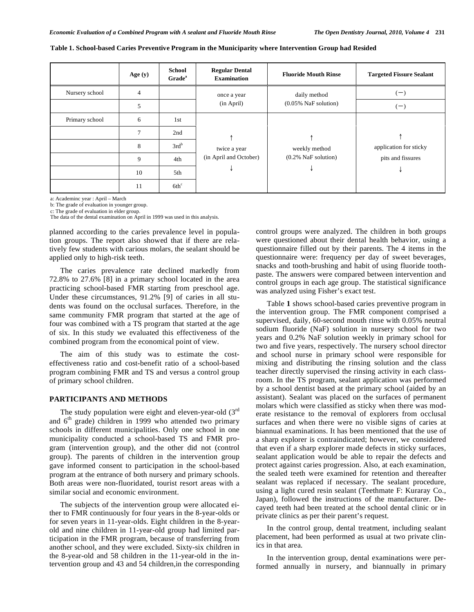|                | Age $(y)$ | <b>School</b><br>Grade <sup>a</sup> | <b>Regular Dental</b><br><b>Examination</b> | <b>Fluoride Mouth Rinse</b>             | <b>Targeted Fissure Sealant</b> |
|----------------|-----------|-------------------------------------|---------------------------------------------|-----------------------------------------|---------------------------------|
| Nursery school | 4         |                                     | once a year                                 | daily method                            | $(-)$                           |
|                | 5         |                                     | (in April)                                  | $(0.05\%$ NaF solution)                 | $(-)$                           |
| Primary school | 6         | 1st                                 |                                             |                                         |                                 |
|                | $\tau$    | 2nd                                 |                                             |                                         |                                 |
|                | 8         | $3rd^b$                             | twice a year<br>(in April and October)      | weekly method<br>$(0.2\%$ NaF solution) | application for sticky          |
|                | 9         | 4th                                 |                                             |                                         | pits and fissures               |
|                | 10        | 5th                                 |                                             |                                         |                                 |
|                | 11        | 6th <sup>c</sup>                    |                                             |                                         |                                 |

#### **Table 1. School-based Caries Preventive Program in the Municiparity where Intervention Group had Resided**

a: Academinc year : April – March

b: The grade of evaluation in younger group.

c: The grade of evaluation in elder group. The data of the dental examination on April in 1999 was used in this analysis.

planned according to the caries prevalence level in population groups. The report also showed that if there are relatively few students with carious molars, the sealant should be applied only to high-risk teeth.

The caries prevalence rate declined markedly from 72.8% to 27.6% [8] in a primary school located in the area practicing school-based FMR starting from preschool age. Under these circumstances, 91.2% [9] of caries in all students was found on the occlusal surfaces. Therefore, in the same community FMR program that started at the age of four was combined with a TS program that started at the age of six. In this study we evaluated this effectiveness of the combined program from the economical point of view.

The aim of this study was to estimate the costeffectiveness ratio and cost-benefit ratio of a school-based program combining FMR and TS and versus a control group of primary school children.

## **PARTICIPANTS AND METHODS**

The study population were eight and eleven-year-old  $(3<sup>rd</sup>$ and  $6<sup>th</sup>$  grade) children in 1999 who attended two primary schools in different municipalities. Only one school in one municipality conducted a school-based TS and FMR program (intervention group), and the other did not (control group). The parents of children in the intervention group gave informed consent to participation in the school-based program at the entrance of both nursery and primary schools. Both areas were non-fluoridated, tourist resort areas with a similar social and economic environment.

The subjects of the intervention group were allocated either to FMR continuously for four years in the 8-year-olds or for seven years in 11-year-olds. Eight children in the 8-yearold and nine children in 11-year-old group had limited participation in the FMR program, because of transferring from another school, and they were excluded. Sixty-six children in the 8-year-old and 58 children in the 11-year-old in the intervention group and 43 and 54 children,in the corresponding control groups were analyzed. The children in both groups were questioned about their dental health behavior, using a questionnaire filled out by their parents. The 4 items in the questionnaire were: frequency per day of sweet beverages, snacks and tooth-brushing and habit of using fluoride toothpaste. The answers were compared between intervention and control groups in each age group. The statistical significance was analyzed using Fisher's exact test.

Table **1** shows school-based caries preventive program in the intervention group. The FMR component comprised a supervised, daily, 60-second mouth rinse with 0.05% neutral sodium fluoride (NaF) solution in nursery school for two years and 0.2% NaF solution weekly in primary school for two and five years, respectively. The nursery school director and school nurse in primary school were responsible for mixing and distributing the rinsing solution and the class teacher directly supervised the rinsing activity in each classroom. In the TS program, sealant application was performed by a school dentist based at the primary school (aided by an assistant). Sealant was placed on the surfaces of permanent molars which were classified as sticky when there was moderate resistance to the removal of explorers from occlusal surfaces and when there were no visible signs of caries at biannual examinations. It has been mentioned that the use of a sharp explorer is contraindicated; however, we considered that even if a sharp explorer made defects in sticky surfaces, sealant application would be able to repair the defects and protect against caries progression. Also, at each examination, the sealed teeth were examined for retention and thereafter sealant was replaced if necessary. The sealant procedure, using a light cured resin sealant (Teethmate F: Kuraray Co., Japan), followed the instructions of the manufacturer. Decayed teeth had been treated at the school dental clinic or in private clinics as per their parent's request.

In the control group, dental treatment, including sealant placement, had been performed as usual at two private clinics in that area.

In the intervention group, dental examinations were performed annually in nursery, and biannually in primary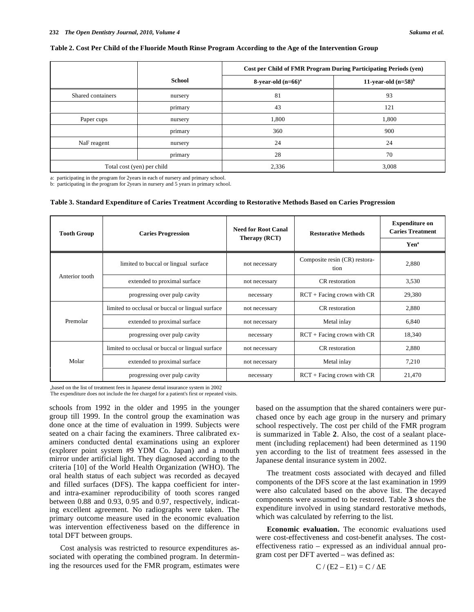#### **Table 2. Cost Per Child of the Fluoride Mouth Rinse Program According to the Age of the Intervention Group**

|                            |               |                       | Cost per Child of FMR Program During Participating Periods (yen) |
|----------------------------|---------------|-----------------------|------------------------------------------------------------------|
|                            | <b>School</b> | 8-year-old $(n=66)^a$ | 11-year-old $(n=58)^b$                                           |
| Shared containers          | nursery       | 81                    | 93                                                               |
|                            | primary       | 43                    | 121                                                              |
| Paper cups                 | nursery       | 1,800                 | 1,800                                                            |
|                            | primary       | 360                   | 900                                                              |
| NaF reagent                | nursery       | 24                    | 24                                                               |
|                            | primary       | 28                    | 70                                                               |
| Total cost (yen) per child |               | 2,336                 | 3,008                                                            |

a: participating in the program for 2years in each of nursery and primary school.

b: participating in the program for 2years in nursery and 5 years in primary school.

#### **Table 3. Standard Expenditure of Caries Treatment According to Restorative Methods Based on Caries Progression**

| <b>Tooth Group</b> | <b>Caries Progression</b>                        | <b>Need for Root Canal</b><br>Therapy (RCT) | <b>Restorative Methods</b>            | <b>Expenditure on</b><br><b>Caries Treatment</b><br>Yen <sup>a</sup> |
|--------------------|--------------------------------------------------|---------------------------------------------|---------------------------------------|----------------------------------------------------------------------|
|                    | limited to buccal or lingual surface             | not necessary                               | Composite resin (CR) restora-<br>tion | 2,880                                                                |
| Anterior tooth     | extended to proximal surface                     | not necessary                               | CR restoration                        | 3,530                                                                |
|                    | progressing over pulp cavity                     | necessary                                   | $RCT + Facing$ crown with $CR$        | 29,380                                                               |
|                    | limited to occlusal or buccal or lingual surface | not necessary                               | CR restoration                        | 2,880                                                                |
| Premolar           | extended to proximal surface                     | not necessary                               | Metal inlay                           | 6,840                                                                |
|                    | progressing over pulp cavity                     | necessary                                   | $RCT + Facing$ crown with $CR$        | 18,340                                                               |
|                    | limited to occlusal or buccal or lingual surface | not necessary                               | CR restoration                        | 2,880                                                                |
| Molar              | extended to proximal surface                     | not necessary                               | Metal inlay                           | 7,210                                                                |
|                    | progressing over pulp cavity                     | necessary                                   | $RCT + Facing$ crown with $CR$        | 21,470                                                               |

abased on the list of treatment fees in Japanese dental insurance system in 2002 The expenditure does not include the fee charged for a patient's first or repeated visits.

schools from 1992 in the older and 1995 in the younger group till 1999. In the control group the examination was done once at the time of evaluation in 1999. Subjects were seated on a chair facing the examiners. Three calibrated examiners conducted dental examinations using an explorer (explorer point system #9 YDM Co. Japan) and a mouth mirror under artificial light. They diagnosed according to the criteria [10] of the World Health Organization (WHO). The oral health status of each subject was recorded as decayed and filled surfaces (DFS). The kappa coefficient for interand intra-examiner reproducibility of tooth scores ranged between 0.88 and 0.93, 0.95 and 0.97, respectively, indicating excellent agreement. No radiographs were taken. The primary outcome measure used in the economic evaluation was intervention effectiveness based on the difference in total DFT between groups.

Cost analysis was restricted to resource expenditures associated with operating the combined program. In determining the resources used for the FMR program, estimates were

based on the assumption that the shared containers were purchased once by each age group in the nursery and primary school respectively. The cost per child of the FMR program is summarized in Table **2**. Also, the cost of a sealant placement (including replacement) had been determined as 1190 yen according to the list of treatment fees assessed in the Japanese dental insurance system in 2002.

The treatment costs associated with decayed and filled components of the DFS score at the last examination in 1999 were also calculated based on the above list. The decayed components were assumed to be restored. Table **3** shows the expenditure involved in using standard restorative methods, which was calculated by referring to the list.

**Economic evaluation.** The economic evaluations used were cost-effectiveness and cost-benefit analyses. The costeffectiveness ratio – expressed as an individual annual program cost per DFT averted – was defined as:

$$
C / (E2 - E1) = C / \Delta E
$$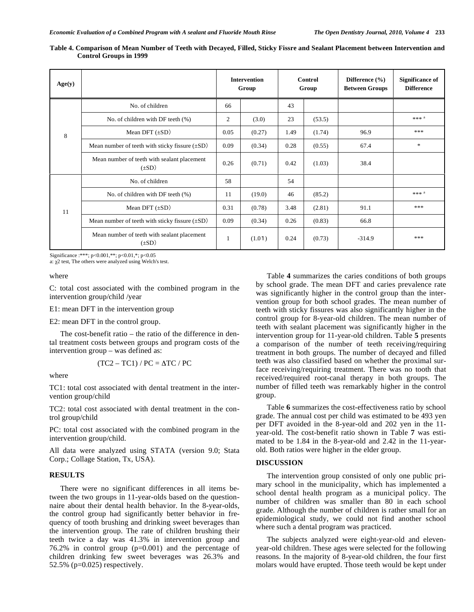| Age(y) |                                                           |      | <b>Intervention</b><br>Group |      | Control<br>Group | Difference $(\% )$<br><b>Between Groups</b> | <b>Significance of</b><br><b>Difference</b> |
|--------|-----------------------------------------------------------|------|------------------------------|------|------------------|---------------------------------------------|---------------------------------------------|
|        | No. of children                                           | 66   |                              | 43   |                  |                                             |                                             |
|        | No. of children with DF teeth (%)                         | 2    | (3.0)                        | 23   | (53.5)           |                                             | *** $^a$                                    |
| 8      | Mean DFT $(\pm SD)$                                       | 0.05 | (0.27)                       | 1.49 | (1.74)           | 96.9                                        | ***                                         |
|        | Mean number of teeth with sticky fissure $(\pm SD)$       | 0.09 | (0.34)                       | 0.28 | (0.55)           | 67.4                                        | $*$                                         |
|        | Mean number of teeth with sealant placement<br>$(\pm SD)$ | 0.26 | (0.71)                       | 0.42 | (1.03)           | 38.4                                        |                                             |
|        | No. of children                                           | 58   |                              | 54   |                  |                                             |                                             |
|        | No. of children with DF teeth (%)                         | 11   | (19.0)                       | 46   | (85.2)           |                                             | *** <sup>a</sup>                            |
| 11     | Mean DFT $(\pm SD)$                                       | 0.31 | (0.78)                       | 3.48 | (2.81)           | 91.1                                        | ***                                         |
|        | Mean number of teeth with sticky fissure $(\pm SD)$       | 0.09 | (0.34)                       | 0.26 | (0.83)           | 66.8                                        |                                             |
|        | Mean number of teeth with sealant placement<br>$(\pm SD)$ | -1   | (1.01)                       | 0.24 | (0.73)           | $-314.9$                                    | ***                                         |

**Table 4. Comparison of Mean Number of Teeth with Decayed, Filled, Sticky Fissre and Sealant Placement between Intervention and Control Groups in 1999**

Significance :\*\*\*; p<0.001,\*\*; p<0.01,\*; p<0.05

a:  $\chi$ 2 test, The others were analyzed using Welch's test.

where

C: total cost associated with the combined program in the intervention group/child /year

E1: mean DFT in the intervention group

E2: mean DFT in the control group.

The cost-benefit ratio – the ratio of the difference in dental treatment costs between groups and program costs of the intervention group – was defined as:

$$
(TC2 - TC1) / PC = \Delta TC / PC
$$

where

TC1: total cost associated with dental treatment in the intervention group/child

TC2: total cost associated with dental treatment in the control group/child

PC: total cost associated with the combined program in the intervention group/child.

All data were analyzed using STATA (version 9.0; Stata Corp.; Collage Station, Tx, USA).

## **RESULTS**

There were no significant differences in all items between the two groups in 11-year-olds based on the questionnaire about their dental health behavior. In the 8-year-olds, the control group had significantly better behavior in frequency of tooth brushing and drinking sweet beverages than the intervention group. The rate of children brushing their teeth twice a day was 41.3% in intervention group and 76.2% in control group (p=0.001) and the percentage of children drinking few sweet beverages was 26.3% and 52.5% (p=0.025) respectively.

Table **4** summarizes the caries conditions of both groups by school grade. The mean DFT and caries prevalence rate was significantly higher in the control group than the intervention group for both school grades. The mean number of teeth with sticky fissures was also significantly higher in the control group for 8-year-old children. The mean number of teeth with sealant placement was significantly higher in the intervention group for 11-year-old children. Table **5** presents a comparison of the number of teeth receiving/requiring treatment in both groups. The number of decayed and filled teeth was also classified based on whether the proximal surface receiving/requiring treatment. There was no tooth that received/required root-canal therapy in both groups. The number of filled teeth was remarkably higher in the control group.

Table **6** summarizes the cost-effectiveness ratio by school grade. The annual cost per child was estimated to be 493 yen per DFT avoided in the 8-year-old and 202 yen in the 11 year-old. The cost-benefit ratio shown in Table **7** was estimated to be 1.84 in the 8-year-old and 2.42 in the 11-yearold. Both ratios were higher in the elder group.

#### **DISCUSSION**

The intervention group consisted of only one public primary school in the municipality, which has implemented a school dental health program as a municipal policy. The number of children was smaller than 80 in each school grade. Although the number of children is rather small for an epidemiological study, we could not find another school where such a dental program was practiced.

The subjects analyzed were eight-year-old and elevenyear-old children. These ages were selected for the following reasons. In the majority of 8-year-old children, the four first molars would have erupted. Those teeth would be kept under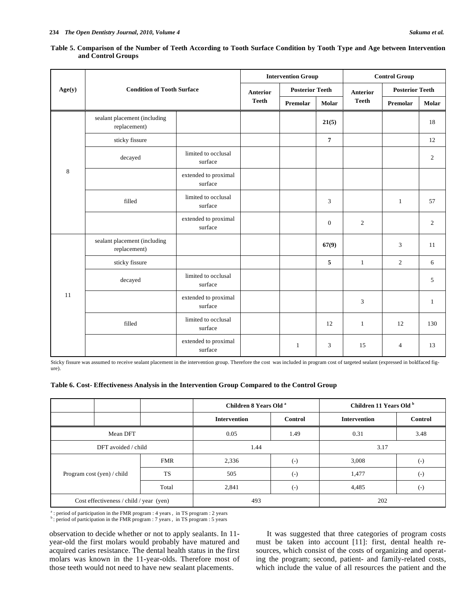|         | <b>Condition of Tooth Surface</b>            |                                 | <b>Intervention Group</b> |                        |                  | <b>Control Group</b> |                        |                |
|---------|----------------------------------------------|---------------------------------|---------------------------|------------------------|------------------|----------------------|------------------------|----------------|
| Age(y)  |                                              |                                 | <b>Anterior</b>           | <b>Posterior Teeth</b> |                  | <b>Anterior</b>      | <b>Posterior Teeth</b> |                |
|         |                                              | <b>Teeth</b>                    | Premolar                  | <b>Molar</b>           | <b>Teeth</b>     | Premolar             | <b>Molar</b>           |                |
|         | sealant placement (including<br>replacement) |                                 |                           |                        | 21(5)            |                      |                        | 18             |
|         | sticky fissure                               |                                 |                           |                        | $\overline{7}$   |                      |                        | 12             |
|         | decayed                                      | limited to occlusal<br>surface  |                           |                        |                  |                      |                        | $\overline{c}$ |
| $\,8\,$ |                                              | extended to proximal<br>surface |                           |                        |                  |                      |                        |                |
|         | filled                                       | limited to occlusal<br>surface  |                           |                        | 3                |                      | $\mathbf{1}$           | 57             |
|         |                                              | extended to proximal<br>surface |                           |                        | $\boldsymbol{0}$ | $\overline{c}$       |                        | $\overline{c}$ |
|         | sealant placement (including<br>replacement) |                                 |                           |                        | 67(9)            |                      | 3                      | 11             |
|         | sticky fissure                               |                                 |                           |                        | 5                | $\mathbf{1}$         | $\overline{2}$         | 6              |
|         | decayed                                      | limited to occlusal<br>surface  |                           |                        |                  |                      |                        | 5              |
| 11      |                                              | extended to proximal<br>surface |                           |                        |                  | 3                    |                        | $\mathbf{1}$   |
|         | filled                                       | limited to occlusal<br>surface  |                           |                        | 12               | $\mathbf{1}$         | 12                     | 130            |
|         |                                              | extended to proximal<br>surface |                           | $\mathbf{1}$           | 3                | 15                   | $\overline{4}$         | 13             |

**Table 5. Comparison of the Number of Teeth According to Tooth Surface Condition by Tooth Type and Age between Intervention and Control Groups**

Sticky fissure was assumed to receive sealant placement in the intervention group. Therefore the cost was included in program cost of targeted sealant (expressed in boldfaced figure).

| Table 6. Cost-Effectiveness Analysis in the Intervention Group Compared to the Control Group |
|----------------------------------------------------------------------------------------------|
|----------------------------------------------------------------------------------------------|

|                                         |            | Children 8 Years Old <sup>a</sup> |                   | Children 11 Years Old b |                |  |
|-----------------------------------------|------------|-----------------------------------|-------------------|-------------------------|----------------|--|
|                                         |            | <b>Intervention</b>               | <b>Control</b>    | <b>Intervention</b>     | <b>Control</b> |  |
| Mean DFT                                |            | 0.05                              | 1.49              | 0.31                    | 3.48           |  |
| DFT avoided / child                     |            | 1.44                              |                   | 3.17                    |                |  |
|                                         | <b>FMR</b> | 2,336                             | $\left( -\right)$ | 3,008                   | $(-)$          |  |
| Program cost (yen) / child              | TS         | 505                               | $\left( -\right)$ | 1,477                   | $(-)$          |  |
|                                         | Total      | 2,841                             | $(-)$             | 4,485                   | $(-)$          |  |
| Cost effectiveness / child / year (yen) |            | 493                               |                   | 202                     |                |  |

<sup>a</sup>: period of participation in the FMR program : 4 years, in TS program : 2 years b: period of participation in the FMR program : 7 years, in TS program : 5 years

observation to decide whether or not to apply sealants. In 11 year-old the first molars would probably have matured and acquired caries resistance. The dental health status in the first molars was known in the 11-year-olds. Therefore most of those teeth would not need to have new sealant placements.

It was suggested that three categories of program costs must be taken into account [11]: first, dental health resources, which consist of the costs of organizing and operating the program; second, patient- and family-related costs, which include the value of all resources the patient and the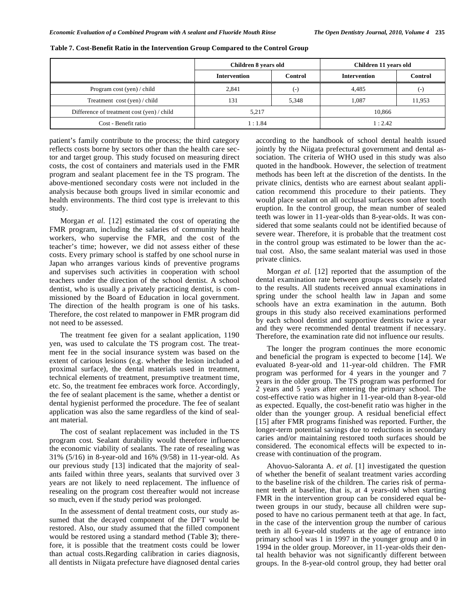|                                            | Children 8 years old |         | Children 11 years old |         |  |
|--------------------------------------------|----------------------|---------|-----------------------|---------|--|
|                                            | <b>Intervention</b>  | Control | <b>Intervention</b>   | Control |  |
| Program cost (yen) / child                 | 2.841                | (-)     | 4.485                 | ( – )   |  |
| Treatment cost (yen) / child               | 131                  | 5,348   | 1.087                 | 11,953  |  |
| Difference of treatment cost (yen) / child | 5.217                |         | 10.866                |         |  |
| Cost - Benefit ratio                       | l:1.84               |         | 1:2.42                |         |  |

**Table 7. Cost-Benefit Ratio in the Intervention Group Compared to the Control Group**

patient's family contribute to the process; the third category reflects costs borne by sectors other than the health care sector and target group. This study focused on measuring direct costs, the cost of containers and materials used in the FMR program and sealant placement fee in the TS program. The above-mentioned secondary costs were not included in the analysis because both groups lived in similar economic and health environments. The third cost type is irrelevant to this study.

Morgan *et al.* [12] estimated the cost of operating the FMR program, including the salaries of community health workers, who supervise the FMR, and the cost of the teacher's time; however, we did not assess either of these costs. Every primary school is staffed by one school nurse in Japan who arranges various kinds of preventive programs and supervises such activities in cooperation with school teachers under the direction of the school dentist. A school dentist, who is usually a privately practicing dentist, is commissioned by the Board of Education in local government. The direction of the health program is one of his tasks. Therefore, the cost related to manpower in FMR program did not need to be assessed.

The treatment fee given for a sealant application, 1190 yen, was used to calculate the TS program cost. The treatment fee in the social insurance system was based on the extent of carious lesions (e.g. whether the lesion included a proximal surface), the dental materials used in treatment, technical elements of treatment, presumptive treatment time, etc. So, the treatment fee embraces work force. Accordingly, the fee of sealant placement is the same, whether a dentist or dental hygienist performed the procedure. The fee of sealant application was also the same regardless of the kind of sealant material.

The cost of sealant replacement was included in the TS program cost. Sealant durability would therefore influence the economic viability of sealants. The rate of resealing was 31% (5/16) in 8-year-old and 16% (9/58) in 11-year-old. As our previous study [13] indicated that the majority of sealants failed within three years, sealants that survived over 3 years are not likely to need replacement. The influence of resealing on the program cost thereafter would not increase so much, even if the study period was prolonged.

In the assessment of dental treatment costs, our study assumed that the decayed component of the DFT would be restored. Also, our study assumed that the filled component would be restored using a standard method (Table **3**); therefore, it is possible that the treatment costs could be lower than actual costs.Regarding calibration in caries diagnosis, all dentists in Niigata prefecture have diagnosed dental caries according to the handbook of school dental health issued jointly by the Niigata prefectural government and dental association. The criteria of WHO used in this study was also quoted in the handbook. However, the selection of treatment methods has been left at the discretion of the dentists. In the private clinics, dentists who are earnest about sealant application recommend this procedure to their patients. They would place sealant on all occlusal surfaces soon after tooth eruption. In the control group, the mean number of sealed teeth was lower in 11-year-olds than 8-year-olds. It was considered that some sealants could not be identified because of severe wear. Therefore, it is probable that the treatment cost in the control group was estimated to be lower than the actual cost. Also, the same sealant material was used in those private clinics.

Morgan *et al.* [12] reported that the assumption of the dental examination rate between groups was closely related to the results. All students received annual examinations in spring under the school health law in Japan and some schools have an extra examination in the autumn. Both groups in this study also received examinations performed by each school dentist and supportive dentists twice a year and they were recommended dental treatment if necessary. Therefore, the examination rate did not influence our results.

The longer the program continues the more economic and beneficial the program is expected to become [14]. We evaluated 8-year-old and 11-year-old children. The FMR program was performed for 4 years in the younger and 7 years in the older group. The TS program was performed for 2 years and 5 years after entering the primary school. The cost-effective ratio was higher in 11-year-old than 8-year-old as expected. Equally, the cost-benefit ratio was higher in the older than the younger group. A residual beneficial effect [15] after FMR programs finished was reported. Further, the longer-term potential savings due to reductions in secondary caries and/or maintaining restored tooth surfaces should be considered. The economical effects will be expected to increase with continuation of the program.

Ahovuo-Saloranta A. *et al*. [1] investigated the question of whether the benefit of sealant treatment varies according to the baseline risk of the children. The caries risk of permanent teeth at baseline, that is, at 4 years-old when starting FMR in the intervention group can be considered equal between groups in our study, because all children were supposed to have no carious permanent teeth at that age. In fact, in the case of the intervention group the number of carious teeth in all 6-year-old students at the age of entrance into primary school was 1 in 1997 in the younger group and 0 in 1994 in the older group. Moreover, in 11-year-olds their dental health behavior was not significantly different between groups. In the 8-year-old control group, they had better oral